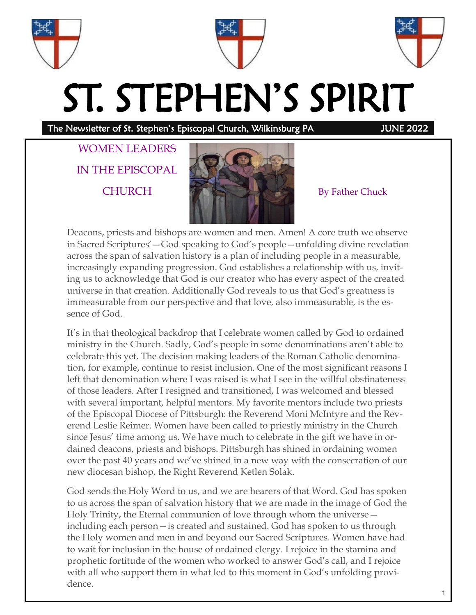





# ST. STEPHEN'S SPIRIT

The Newsletter of St. Stephen's Episcopal Church, Wilkinsburg PA JUNE 2022

WOMEN LEADERS IN THE EPISCOPAL



Deacons, priests and bishops are women and men. Amen! A core truth we observe in Sacred Scriptures'—God speaking to God's people—unfolding divine revelation across the span of salvation history is a plan of including people in a measurable, increasingly expanding progression. God establishes a relationship with us, inviting us to acknowledge that God is our creator who has every aspect of the created universe in that creation. Additionally God reveals to us that God's greatness is immeasurable from our perspective and that love, also immeasurable, is the essence of God.

It's in that theological backdrop that I celebrate women called by God to ordained ministry in the Church. Sadly, God's people in some denominations aren't able to celebrate this yet. The decision making leaders of the Roman Catholic denomination, for example, continue to resist inclusion. One of the most significant reasons I left that denomination where I was raised is what I see in the willful obstinateness of those leaders. After I resigned and transitioned, I was welcomed and blessed with several important, helpful mentors. My favorite mentors include two priests of the Episcopal Diocese of Pittsburgh: the Reverend Moni McIntyre and the Reverend Leslie Reimer. Women have been called to priestly ministry in the Church since Jesus' time among us. We have much to celebrate in the gift we have in ordained deacons, priests and bishops. Pittsburgh has shined in ordaining women over the past 40 years and we've shined in a new way with the consecration of our new diocesan bishop, the Right Reverend Ketlen Solak.

God sends the Holy Word to us, and we are hearers of that Word. God has spoken to us across the span of salvation history that we are made in the image of God the Holy Trinity, the Eternal communion of love through whom the universe including each person—is created and sustained. God has spoken to us through the Holy women and men in and beyond our Sacred Scriptures. Women have had to wait for inclusion in the house of ordained clergy. I rejoice in the stamina and prophetic fortitude of the women who worked to answer God's call, and I rejoice with all who support them in what led to this moment in God's unfolding providence.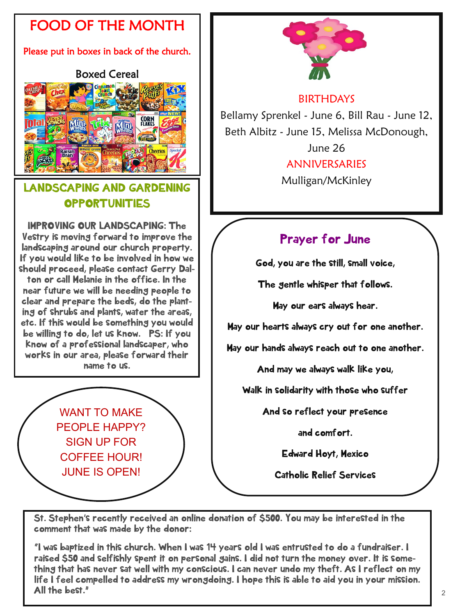# FOOD OF THE MONTH

#### Please put in boxes in back of the church.

#### Boxed Cereal



# LANDSCAPING AND GARDENING **OPPORTUNITIES**

IMPROVING OUR LANDSCAPING: The Vestry is moving forward to improve the landscaping around our church property. If you would like to be involved in how we should proceed, please contact Gerry Dalton or call Melanie in the office. In the near future we will be needing people to clear and prepare the beds, do the planting of shrubs and plants, water the areas, etc. If this would be something you would be willing to do, let us know. PS: If you know of a professional landscaper, who works in our area, please forward their name to us.

> WANT TO MAKE PEOPLE HAPPY? SIGN UP FOR COFFEE HOUR! JUNE IS OPEN!



# BIRTHDAYS

Bellamy Sprenkel - June 6, Bill Rau - June 12, Beth Albitz - June 15, Melissa McDonough,

June 26

# ANNIVERSARIES

Mulligan/McKinley

# Prayer for June

God, you are the still, small voice,

The gentle whisper that follows.

May our ears always hear.

May our hearts always cry out for one another.

May our hands always reach out to one another.

And may we always walk like you,

Walk in solidarity with those who suffer

And so reflect your presence

and comfort.

Edward Hoyt, Mexico

Catholic Relief Services

St. Stephen's recently received an online donation of \$500. You may be interested in the comment that was made by the donor:

"I was baptized in this church. When I was 14 years old I was entrusted to do a fundraiser. I raised \$50 and selfishly spent it on personal gains. I did not turn the money over. It is something that has never sat well with my conscious. I can never undo my theft. As I reflect on my life I feel compelled to address my wrongdoing. I hope this is able to aid you in your mission. All the best."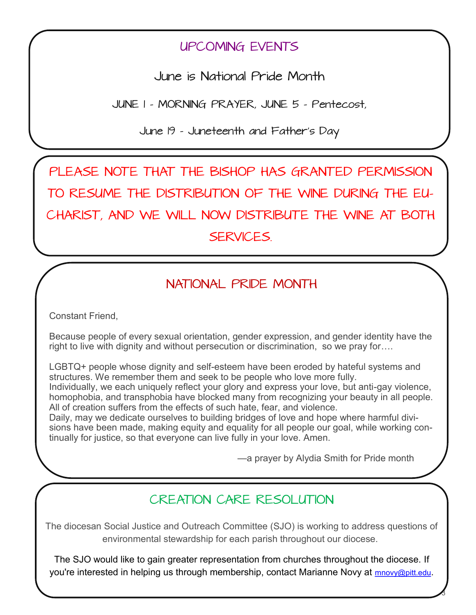# UPCOMING EVENTS

June is National Pride Month

JUNE 1 - MORNING PRAYER, JUNE 5 - Pentecost,

June 19 - Juneteenth and Father's Day

PLEASE NOTE THAT THE BISHOP HAS GRANTED PERMISSION TO RESUME THE DISTRIBUTION OF THE WINE DURING THE EU-CHARIST, AND WE WILL NOW DISTRIBUTE THE WINE AT BOTH SERVICES.

# NATIONAL PRIDE MONTH

Constant Friend,

Because people of every sexual orientation, gender expression, and gender identity have the right to live with dignity and without persecution or discrimination, so we pray for….

LGBTQ+ people whose dignity and self-esteem have been eroded by hateful systems and structures. We remember them and seek to be people who love more fully. Individually, we each uniquely reflect your glory and express your love, but anti-gay violence, homophobia, and transphobia have blocked many from recognizing your beauty in all people. All of creation suffers from the effects of such hate, fear, and violence.

Daily, may we dedicate ourselves to building bridges of love and hope where harmful divisions have been made, making equity and equality for all people our goal, while working continually for justice, so that everyone can live fully in your love. Amen.

—a prayer by Alydia Smith for Pride month

3

# CREATION CARE RESOLUTION

The diocesan Social Justice and Outreach Committee (SJO) is working to address questions of environmental stewardship for each parish throughout our diocese.

The SJO would like to gain greater representation from churches throughout the diocese. If you're interested in helping us through membership, contact Marianne Novy at [mnovy@pitt.edu](mailto:mnovy@pitt.edu).